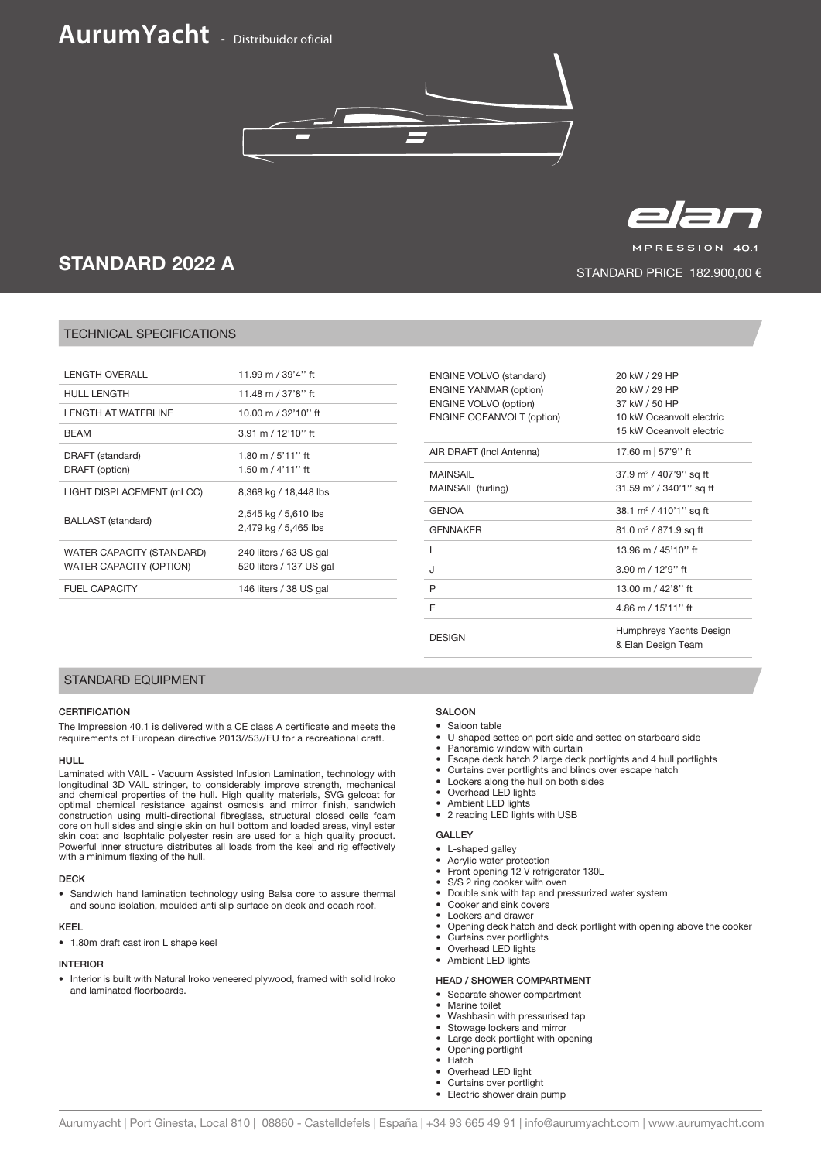# **AurumYacht** - Distribuidor oficial





IMPRESSION 40.1

STANDARD PRICE 182.900,00 €

# STANDARD 2022 A

# TECHNICAL SPECIFICATIONS

| <b>LENGTH OVERALL</b>                                       | 11.99 m / 39'4" ft                                |
|-------------------------------------------------------------|---------------------------------------------------|
| <b>HULL LENGTH</b>                                          | 11.48 m / 37'8" ft                                |
| <b>LENGTH AT WATERLINE</b>                                  | 10.00 m / 32'10" ft                               |
| <b>BFAM</b>                                                 | $3.91 \text{ m} / 12'10''$ ft                     |
| DRAFT (standard)<br>DRAFT (option)                          | 1.80 m / 5'11" ft<br>1.50 m / 4'11'' ft           |
| LIGHT DISPLACEMENT (mLCC)                                   | 8,368 kg / 18,448 lbs                             |
|                                                             |                                                   |
| BALLAST (standard)                                          | 2,545 kg / 5,610 lbs<br>2,479 kg / 5,465 lbs      |
| WATER CAPACITY (STANDARD)<br><b>WATER CAPACITY (OPTION)</b> | 240 liters / 63 US gal<br>520 liters / 137 US gal |
| <b>FUEL CAPACITY</b>                                        | 146 liters / 38 US gal                            |

| <b>ENGINE VOLVO (standard)</b>   | 20 kW / 29 HP                       |
|----------------------------------|-------------------------------------|
| <b>ENGINE YANMAR (option)</b>    | 20 kW / 29 HP                       |
| <b>ENGINE VOLVO (option)</b>     | 37 kW / 50 HP                       |
| <b>ENGINE OCEANVOLT (option)</b> | 10 kW Oceanvolt electric            |
|                                  | 15 kW Oceanvolt electric            |
| AIR DRAFT (Incl Antenna)         | 17.60 m   57'9'' ft                 |
| MAINSAIL                         | 37.9 m <sup>2</sup> / 407'9'' sq ft |
| MAINSAIL (furling)               | 31.59 m <sup>2</sup> / 340'1" sq ft |
| <b>GENOA</b>                     | 38.1 m <sup>2</sup> / 410'1" sq ft  |
| <b>GENNAKER</b>                  | 81.0 m <sup>2</sup> / 871.9 sq ft   |
| ı                                | 13.96 m / 45'10" ft                 |
| J                                | $3.90 \text{ m} / 12'9''$ ft        |
| P                                | 13.00 m / 42'8" ft                  |
| F                                | 4.86 m / 15'11" ft                  |
| <b>DESIGN</b>                    | Humphreys Yachts Design             |
|                                  | & Elan Design Team                  |
|                                  |                                     |

# STANDARD EQUIPMENT

# **CERTIFICATION**

The Impression 40.1 is delivered with a CE class A certificate and meets the requirements of European directive 2013//53//EU for a recreational craft.

## HULL

Laminated with VAIL - Vacuum Assisted Infusion Lamination, technology with longitudinal 3D VAIL stringer, to considerably improve strength, mechanical<br>and chemical properties of the hull. High quality materials, SVG gelcoat for<br>optimal chemical resistance against osmosis and mirror finish, sandwi construction using multi-directional fibreglass, structural closed cells foam core on hull sides and single skin on hull bottom and loaded areas, vinyl ester skin coat and Isophtalic polyester resin are used for a high quality product. Powerful inner structure distributes all loads from the keel and rig effectively with a minimum flexing of the hull.

#### DECK

• Sandwich hand lamination technology using Balsa core to assure thermal and sound isolation, moulded anti slip surface on deck and coach roof.

#### KEEL

• 1,80m draft cast iron L shape keel

#### INTERIOR

• Interior is built with Natural Iroko veneered plywood, framed with solid Iroko and laminated floorboards.

# SALOON

- Saloon table
- U-shaped settee on port side and settee on starboard side
- Panoramic window with curtain
- Escape deck hatch 2 large deck portlights and 4 hull portlights
- Curtains over portlights and blinds over escape hatch
- Lockers along the hull on both sides
- Overhead LED lights<br>• Ambient LED lights
- Ambient LED lights
- 2 reading LED lights with USB

# GALLEY

- L-shaped galley
- Acrylic water protection
- Front opening 12 V refrigerator 130L
- S/S 2 ring cooker with oven
- Double sink with tap and pressurized water system
- Cooker and sink covers • Lockers and drawer
- Opening deck hatch and deck portlight with opening above the cooker
- Curtains over portlights
- Overhead LED lights
- Ambient LED lights

### HEAD / SHOWER COMPARTMENT

- Separate shower compartment
- Marine toilet
- Washbasin with pressurised tap
- Stowage lockers and mirror
- Large deck portlight with opening • Opening portlight
- **Hatch**
- Overhead LED light
- Curtains over portlight
- Electric shower drain pump